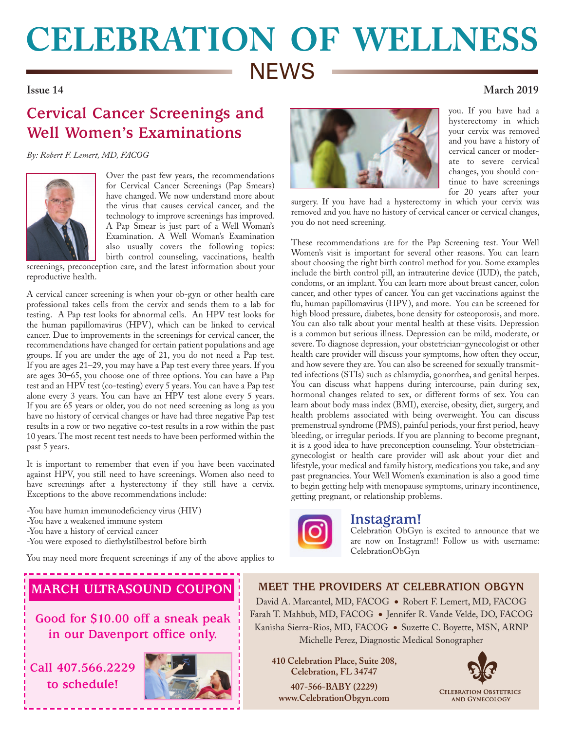## **CELEBRATION OF WELLNESS NEWS Issue 14 March 2019**

## **Cervical Cancer Screenings and Well Women's Examinations**

*By: Robert F. Lemert, MD, FACOG*



Over the past few years, the recommendations for Cervical Cancer Screenings (Pap Smears) have changed. We now understand more about the virus that causes cervical cancer, and the technology to improve screenings has improved. A Pap Smear is just part of a Well Woman's Examination. A Well Woman's Examination also usually covers the following topics: birth control counseling, vaccinations, health

screenings, preconception care, and the latest information about your reproductive health.

A cervical cancer screening is when your ob-gyn or other health care professional takes cells from the cervix and sends them to a lab for testing. A Pap test looks for abnormal cells. An HPV test looks for the human papillomavirus (HPV), which can be linked to cervical cancer. Due to improvements in the screenings for cervical cancer, the recommendations have changed for certain patient populations and age groups. If you are under the age of 21, you do not need a Pap test. If you are ages 21–29, you may have a Pap test every three years. If you are ages 30–65, you choose one of three options. You can have a Pap test and an HPV test (co-testing) every 5 years. You can have a Pap test alone every 3 years. You can have an HPV test alone every 5 years. If you are 65 years or older, you do not need screening as long as you have no history of cervical changes or have had three negative Pap test results in a row or two negative co-test results in a row within the past 10 years. The most recent test needs to have been performed within the past 5 years.

It is important to remember that even if you have been vaccinated against HPV, you still need to have screenings. Women also need to have screenings after a hysterectomy if they still have a cervix. Exceptions to the above recommendations include:

-You have human immunodeficiency virus (HIV)

- -You have a weakened immune system
- -You have a history of cervical cancer
- -You were exposed to diethylstilbestrol before birth

You may need more frequent screenings if any of the above applies to



you. If you have had a hysterectomy in which your cervix was removed and you have a history of cervical cancer or moderate to severe cervical changes, you should continue to have screenings for 20 years after your

surgery. If you have had a hysterectomy in which your cervix was removed and you have no history of cervical cancer or cervical changes, you do not need screening.

These recommendations are for the Pap Screening test. Your Well Women's visit is important for several other reasons. You can learn about choosing the right birth control method for you. Some examples include the birth control pill, an intrauterine device (IUD), the patch, condoms, or an implant. You can learn more about breast cancer, colon cancer, and other types of cancer. You can get vaccinations against the flu, human papillomavirus (HPV), and more. You can be screened for high blood pressure, diabetes, bone density for osteoporosis, and more. You can also talk about your mental health at these visits. Depression is a common but serious illness. Depression can be mild, moderate, or severe. To diagnose depression, your obstetrician–gynecologist or other health care provider will discuss your symptoms, how often they occur, and how severe they are. You can also be screened for sexually transmitted infections (STIs) such as chlamydia, gonorrhea, and genital herpes. You can discuss what happens during intercourse, pain during sex, hormonal changes related to sex, or different forms of sex. You can learn about body mass index (BMI), exercise, obesity, diet, surgery, and health problems associated with being overweight. You can discuss premenstrual syndrome (PMS), painful periods, your first period, heavy bleeding, or irregular periods. If you are planning to become pregnant, it is a good idea to have preconception counseling. Your obstetrician– gynecologist or health care provider will ask about your diet and lifestyle, your medical and family history, medications you take, and any past pregnancies. Your Well Women's examination is also a good time to begin getting help with menopause symptoms, urinary incontinence, getting pregnant, or relationship problems.



### **Instagram!**

Celebration ObGyn is excited to announce that we are now on Instagram!! Follow us with username: CelebrationObGyn

## **MARCH ULTRASOUND COUPON**

**Good for \$10.00 off a sneak peak in our Davenport office only.** 

**Call 407.566.2229 to schedule!**



**MEET THE PROVIDERS AT CELEBRATION OBGYN** David A. Marcantel, MD, FACOG . Robert F. Lemert, MD, FACOG Farah T. Mahbub, MD, FACOG ● Jennifer R. Vande Velde, DO, FACOG Kanisha Sierra-Rios, MD, FACOG ● Suzette C. Boyette, MSN, ARNP

Michelle Perez, Diagnostic Medical Sonographer

**410 Celebration Place, Suite 208, Celebration, FL 34747 407-566-BABY (2229) www.CelebrationObgyn.com**